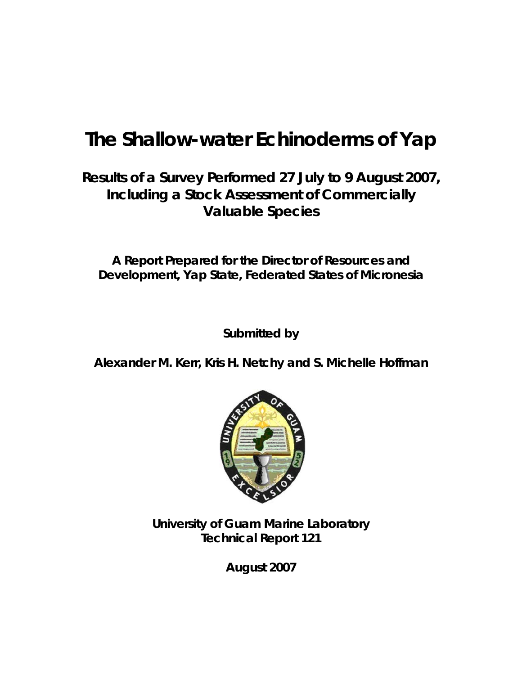# **The Shallow-water Echinoderms of Yap**

# **Results of a Survey Performed 27 July to 9 August 2007, Including a Stock Assessment of Commercially Valuable Species**

**A Report Prepared for the Director of Resources and Development, Yap State, Federated States of Micronesia** 

**Submitted by** 

**Alexander M. Kerr, Kris H. Netchy and S. Michelle Hoffman** 



**University of Guam Marine Laboratory Technical Report 121** 

**August 2007**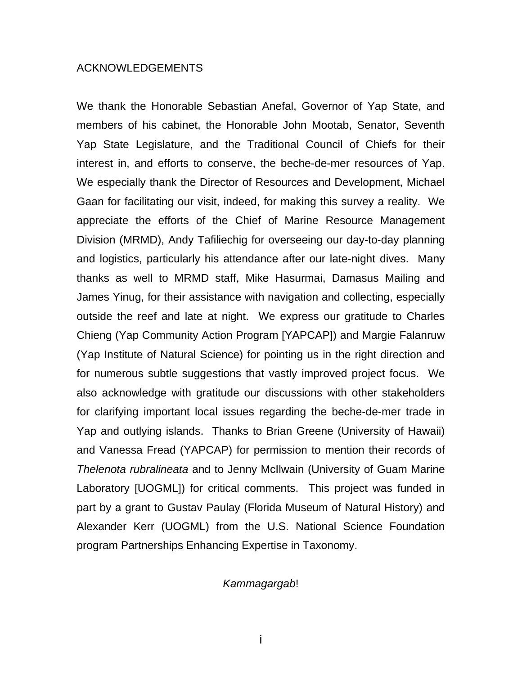### ACKNOWLEDGEMENTS

We thank the Honorable Sebastian Anefal, Governor of Yap State, and members of his cabinet, the Honorable John Mootab, Senator, Seventh Yap State Legislature, and the Traditional Council of Chiefs for their interest in, and efforts to conserve, the beche-de-mer resources of Yap. We especially thank the Director of Resources and Development, Michael Gaan for facilitating our visit, indeed, for making this survey a reality. We appreciate the efforts of the Chief of Marine Resource Management Division (MRMD), Andy Tafiliechig for overseeing our day-to-day planning and logistics, particularly his attendance after our late-night dives. Many thanks as well to MRMD staff, Mike Hasurmai, Damasus Mailing and James Yinug, for their assistance with navigation and collecting, especially outside the reef and late at night. We express our gratitude to Charles Chieng (Yap Community Action Program [YAPCAP]) and Margie Falanruw (Yap Institute of Natural Science) for pointing us in the right direction and for numerous subtle suggestions that vastly improved project focus. We also acknowledge with gratitude our discussions with other stakeholders for clarifying important local issues regarding the beche-de-mer trade in Yap and outlying islands. Thanks to Brian Greene (University of Hawaii) and Vanessa Fread (YAPCAP) for permission to mention their records of *Thelenota rubralineata* and to Jenny McIlwain (University of Guam Marine Laboratory [UOGML]) for critical comments. This project was funded in part by a grant to Gustav Paulay (Florida Museum of Natural History) and Alexander Kerr (UOGML) from the U.S. National Science Foundation program Partnerships Enhancing Expertise in Taxonomy.

### *Kammagargab*!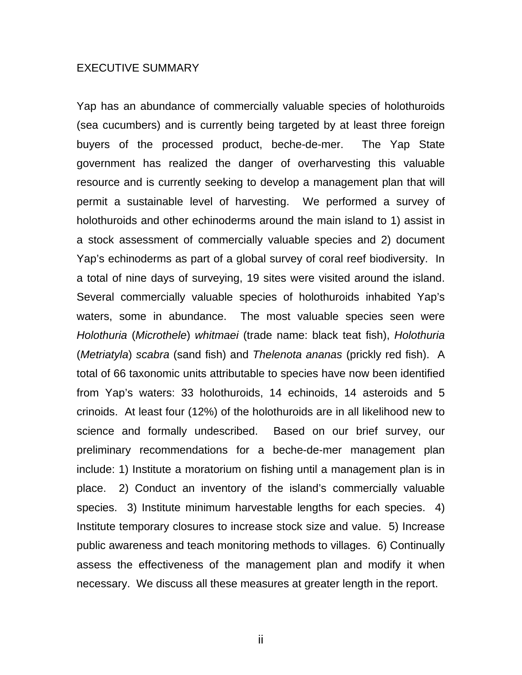#### EXECUTIVE SUMMARY

Yap has an abundance of commercially valuable species of holothuroids (sea cucumbers) and is currently being targeted by at least three foreign buyers of the processed product, beche-de-mer. The Yap State government has realized the danger of overharvesting this valuable resource and is currently seeking to develop a management plan that will permit a sustainable level of harvesting. We performed a survey of holothuroids and other echinoderms around the main island to 1) assist in a stock assessment of commercially valuable species and 2) document Yap's echinoderms as part of a global survey of coral reef biodiversity. In a total of nine days of surveying, 19 sites were visited around the island. Several commercially valuable species of holothuroids inhabited Yap's waters, some in abundance. The most valuable species seen were *Holothuria* (*Microthele*) *whitmaei* (trade name: black teat fish), *Holothuria*  (*Metriatyla*) *scabra* (sand fish) and *Thelenota ananas* (prickly red fish). A total of 66 taxonomic units attributable to species have now been identified from Yap's waters: 33 holothuroids, 14 echinoids, 14 asteroids and 5 crinoids. At least four (12%) of the holothuroids are in all likelihood new to science and formally undescribed. Based on our brief survey, our preliminary recommendations for a beche-de-mer management plan include: 1) Institute a moratorium on fishing until a management plan is in place. 2) Conduct an inventory of the island's commercially valuable species. 3) Institute minimum harvestable lengths for each species. 4) Institute temporary closures to increase stock size and value. 5) Increase public awareness and teach monitoring methods to villages. 6) Continually assess the effectiveness of the management plan and modify it when necessary. We discuss all these measures at greater length in the report.

ii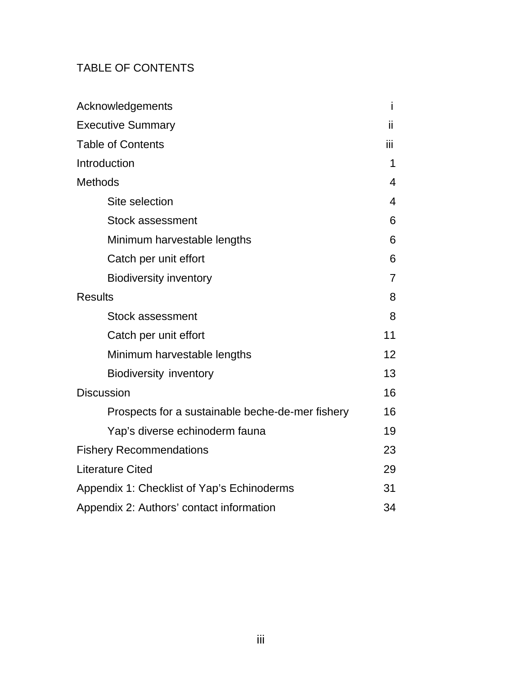# TABLE OF CONTENTS

| Acknowledgements                                 | Ť              |
|--------------------------------------------------|----------------|
| <b>Executive Summary</b>                         | ii.            |
| <b>Table of Contents</b>                         | ΪİΙ            |
| Introduction                                     | 1              |
| <b>Methods</b>                                   | 4              |
| Site selection                                   | 4              |
| <b>Stock assessment</b>                          | 6              |
| Minimum harvestable lengths                      | 6              |
| Catch per unit effort                            | 6              |
| <b>Biodiversity inventory</b>                    | $\overline{7}$ |
| <b>Results</b>                                   | 8              |
| <b>Stock assessment</b>                          | 8              |
| Catch per unit effort                            | 11             |
| Minimum harvestable lengths                      | 12             |
| <b>Biodiversity inventory</b>                    | 13             |
| <b>Discussion</b>                                | 16             |
| Prospects for a sustainable beche-de-mer fishery | 16             |
| Yap's diverse echinoderm fauna                   | 19             |
| <b>Fishery Recommendations</b>                   | 23             |
| <b>Literature Cited</b>                          | 29             |
| Appendix 1: Checklist of Yap's Echinoderms       | 31             |
| Appendix 2: Authors' contact information         | 34             |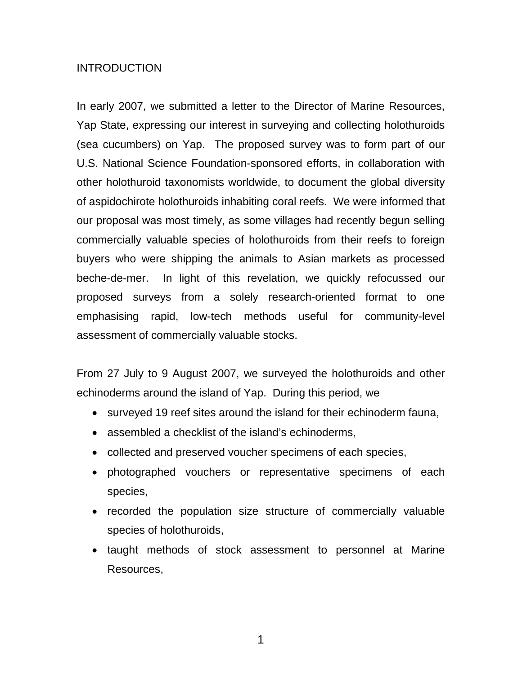# **INTRODUCTION**

In early 2007, we submitted a letter to the Director of Marine Resources, Yap State, expressing our interest in surveying and collecting holothuroids (sea cucumbers) on Yap. The proposed survey was to form part of our U.S. National Science Foundation-sponsored efforts, in collaboration with other holothuroid taxonomists worldwide, to document the global diversity of aspidochirote holothuroids inhabiting coral reefs. We were informed that our proposal was most timely, as some villages had recently begun selling commercially valuable species of holothuroids from their reefs to foreign buyers who were shipping the animals to Asian markets as processed beche-de-mer. In light of this revelation, we quickly refocussed our proposed surveys from a solely research-oriented format to one emphasising rapid, low-tech methods useful for community-level assessment of commercially valuable stocks.

From 27 July to 9 August 2007, we surveyed the holothuroids and other echinoderms around the island of Yap. During this period, we

- surveyed 19 reef sites around the island for their echinoderm fauna,
- assembled a checklist of the island's echinoderms,
- collected and preserved voucher specimens of each species,
- photographed vouchers or representative specimens of each species,
- recorded the population size structure of commercially valuable species of holothuroids,
- taught methods of stock assessment to personnel at Marine Resources,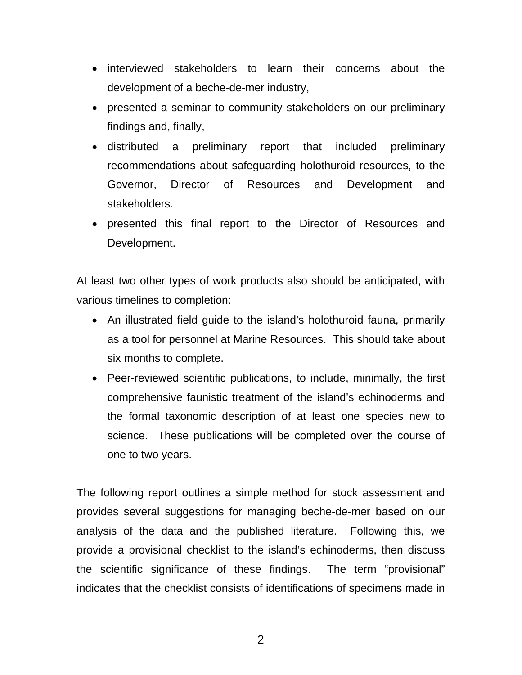- interviewed stakeholders to learn their concerns about the development of a beche-de-mer industry,
- presented a seminar to community stakeholders on our preliminary findings and, finally,
- distributed a preliminary report that included preliminary recommendations about safeguarding holothuroid resources, to the Governor, Director of Resources and Development and stakeholders.
- presented this final report to the Director of Resources and Development.

At least two other types of work products also should be anticipated, with various timelines to completion:

- An illustrated field guide to the island's holothuroid fauna, primarily as a tool for personnel at Marine Resources. This should take about six months to complete.
- Peer-reviewed scientific publications, to include, minimally, the first comprehensive faunistic treatment of the island's echinoderms and the formal taxonomic description of at least one species new to science. These publications will be completed over the course of one to two years.

The following report outlines a simple method for stock assessment and provides several suggestions for managing beche-de-mer based on our analysis of the data and the published literature. Following this, we provide a provisional checklist to the island's echinoderms, then discuss the scientific significance of these findings. The term "provisional" indicates that the checklist consists of identifications of specimens made in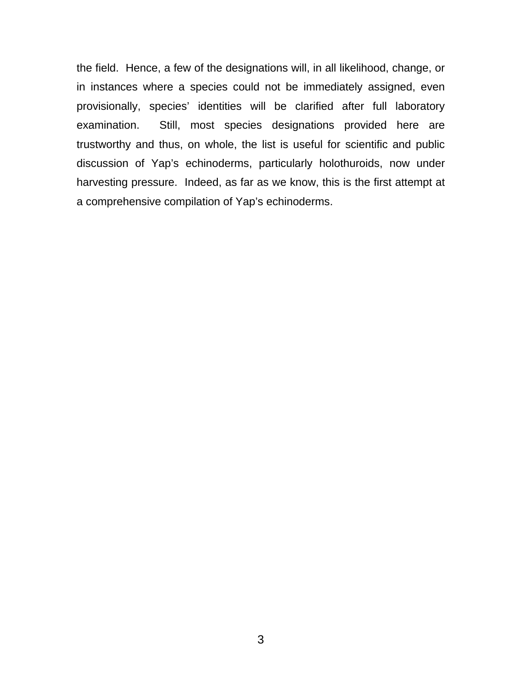the field. Hence, a few of the designations will, in all likelihood, change, or in instances where a species could not be immediately assigned, even provisionally, species' identities will be clarified after full laboratory examination. Still, most species designations provided here are trustworthy and thus, on whole, the list is useful for scientific and public discussion of Yap's echinoderms, particularly holothuroids, now under harvesting pressure. Indeed, as far as we know, this is the first attempt at a comprehensive compilation of Yap's echinoderms.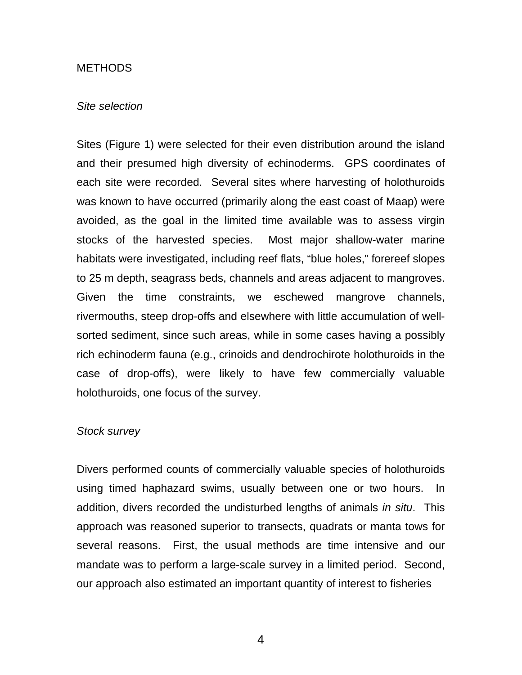#### **METHODS**

#### *Site selection*

Sites (Figure 1) were selected for their even distribution around the island and their presumed high diversity of echinoderms. GPS coordinates of each site were recorded. Several sites where harvesting of holothuroids was known to have occurred (primarily along the east coast of Maap) were avoided, as the goal in the limited time available was to assess virgin stocks of the harvested species. Most major shallow-water marine habitats were investigated, including reef flats, "blue holes," forereef slopes to 25 m depth, seagrass beds, channels and areas adjacent to mangroves. Given the time constraints, we eschewed mangrove channels, rivermouths, steep drop-offs and elsewhere with little accumulation of wellsorted sediment, since such areas, while in some cases having a possibly rich echinoderm fauna (e.g., crinoids and dendrochirote holothuroids in the case of drop-offs), were likely to have few commercially valuable holothuroids, one focus of the survey.

#### *Stock survey*

Divers performed counts of commercially valuable species of holothuroids using timed haphazard swims, usually between one or two hours. In addition, divers recorded the undisturbed lengths of animals *in situ*. This approach was reasoned superior to transects, quadrats or manta tows for several reasons. First, the usual methods are time intensive and our mandate was to perform a large-scale survey in a limited period. Second, our approach also estimated an important quantity of interest to fisheries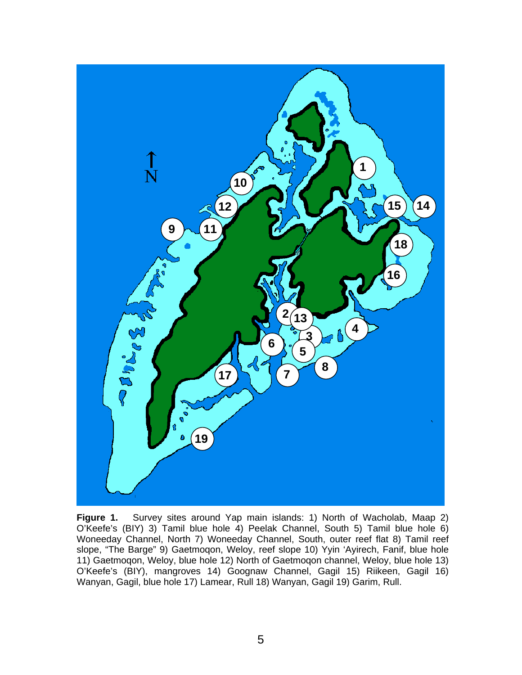

**Figure 1.** Survey sites around Yap main islands: 1) North of Wacholab, Maap 2) O'Keefe's (BIY) 3) Tamil blue hole 4) Peelak Channel, South 5) Tamil blue hole 6) Woneeday Channel, North 7) Woneeday Channel, South, outer reef flat 8) Tamil reef slope, "The Barge" 9) Gaetmoqon, Weloy, reef slope 10) Yyin 'Ayirech, Fanif, blue hole 11) Gaetmoqon, Weloy, blue hole 12) North of Gaetmoqon channel, Weloy, blue hole 13) O'Keefe's (BIY), mangroves 14) Goognaw Channel, Gagil 15) Riikeen, Gagil 16) Wanyan, Gagil, blue hole 17) Lamear, Rull 18) Wanyan, Gagil 19) Garim, Rull.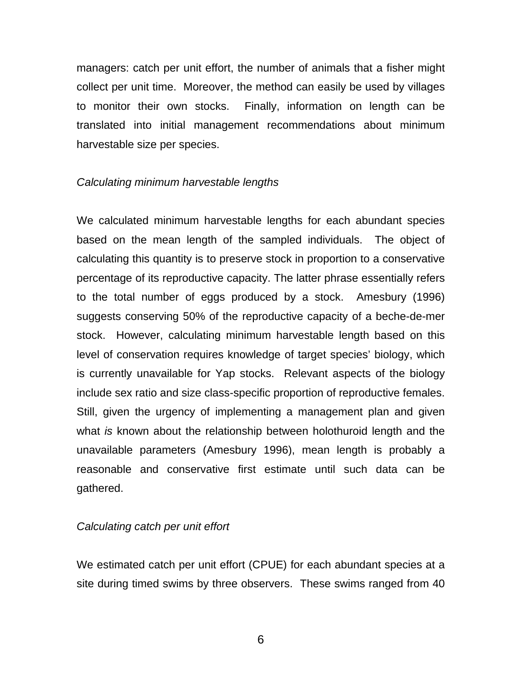managers: catch per unit effort, the number of animals that a fisher might collect per unit time. Moreover, the method can easily be used by villages to monitor their own stocks. Finally, information on length can be translated into initial management recommendations about minimum harvestable size per species.

# *Calculating minimum harvestable lengths*

We calculated minimum harvestable lengths for each abundant species based on the mean length of the sampled individuals. The object of calculating this quantity is to preserve stock in proportion to a conservative percentage of its reproductive capacity. The latter phrase essentially refers to the total number of eggs produced by a stock. Amesbury (1996) suggests conserving 50% of the reproductive capacity of a beche-de-mer stock. However, calculating minimum harvestable length based on this level of conservation requires knowledge of target species' biology, which is currently unavailable for Yap stocks. Relevant aspects of the biology include sex ratio and size class-specific proportion of reproductive females. Still, given the urgency of implementing a management plan and given what *is* known about the relationship between holothuroid length and the unavailable parameters (Amesbury 1996), mean length is probably a reasonable and conservative first estimate until such data can be gathered.

#### *Calculating catch per unit effort*

We estimated catch per unit effort (CPUE) for each abundant species at a site during timed swims by three observers. These swims ranged from 40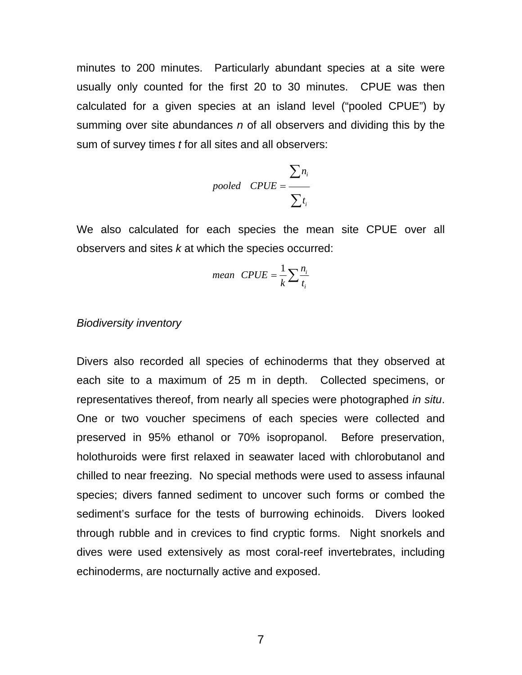minutes to 200 minutes. Particularly abundant species at a site were usually only counted for the first 20 to 30 minutes. CPUE was then calculated for a given species at an island level ("pooled CPUE") by summing over site abundances *n* of all observers and dividing this by the sum of survey times *t* for all sites and all observers:

$$
pooled \quad CPUE = \frac{\sum n_i}{\sum t_i}
$$

We also calculated for each species the mean site CPUE over all observers and sites *k* at which the species occurred:

$$
mean \quad CPUE = \frac{1}{k} \sum \frac{n_i}{t_i}
$$

#### *Biodiversity inventory*

Divers also recorded all species of echinoderms that they observed at each site to a maximum of 25 m in depth. Collected specimens, or representatives thereof, from nearly all species were photographed *in situ*. One or two voucher specimens of each species were collected and preserved in 95% ethanol or 70% isopropanol. Before preservation, holothuroids were first relaxed in seawater laced with chlorobutanol and chilled to near freezing. No special methods were used to assess infaunal species; divers fanned sediment to uncover such forms or combed the sediment's surface for the tests of burrowing echinoids. Divers looked through rubble and in crevices to find cryptic forms. Night snorkels and dives were used extensively as most coral-reef invertebrates, including echinoderms, are nocturnally active and exposed.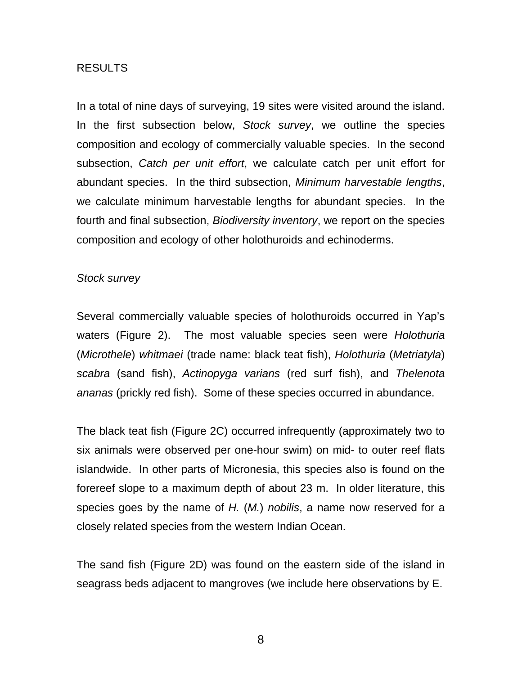# RESULTS

In a total of nine days of surveying, 19 sites were visited around the island. In the first subsection below, *Stock survey*, we outline the species composition and ecology of commercially valuable species. In the second subsection, *Catch per unit effort*, we calculate catch per unit effort for abundant species. In the third subsection, *Minimum harvestable lengths*, we calculate minimum harvestable lengths for abundant species. In the fourth and final subsection, *Biodiversity inventory*, we report on the species composition and ecology of other holothuroids and echinoderms.

### *Stock survey*

Several commercially valuable species of holothuroids occurred in Yap's waters (Figure 2). The most valuable species seen were *Holothuria*  (*Microthele*) *whitmaei* (trade name: black teat fish), *Holothuria* (*Metriatyla*) *scabra* (sand fish), *Actinopyga varians* (red surf fish), and *Thelenota ananas* (prickly red fish). Some of these species occurred in abundance.

The black teat fish (Figure 2C) occurred infrequently (approximately two to six animals were observed per one-hour swim) on mid- to outer reef flats islandwide. In other parts of Micronesia, this species also is found on the forereef slope to a maximum depth of about 23 m. In older literature, this species goes by the name of *H.* (*M.*) *nobilis*, a name now reserved for a closely related species from the western Indian Ocean.

The sand fish (Figure 2D) was found on the eastern side of the island in seagrass beds adjacent to mangroves (we include here observations by E.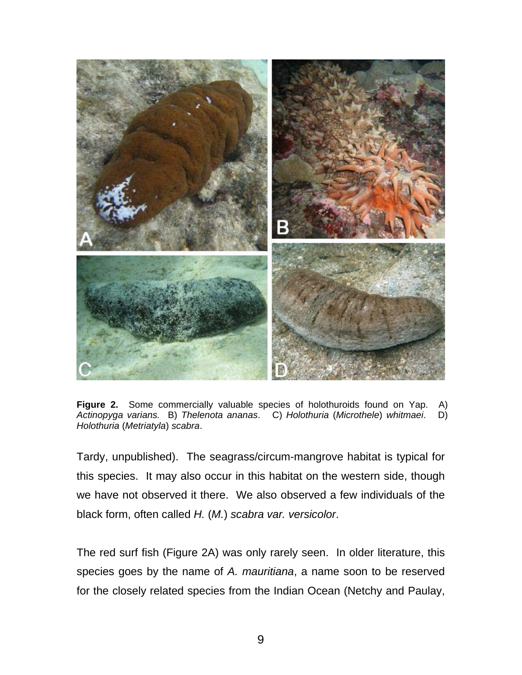

**Figure 2.** Some commercially valuable species of holothuroids found on Yap. A) *Actinopyga varians.* B) *Thelenota ananas*. C) *Holothuria* (*Microthele*) *whitmaei*. D) *Holothuria* (*Metriatyla*) *scabra*.

Tardy, unpublished). The seagrass/circum-mangrove habitat is typical for this species. It may also occur in this habitat on the western side, though we have not observed it there. We also observed a few individuals of the black form, often called *H.* (*M.*) *scabra var. versicolor*.

The red surf fish (Figure 2A) was only rarely seen. In older literature, this species goes by the name of *A. mauritiana*, a name soon to be reserved for the closely related species from the Indian Ocean (Netchy and Paulay,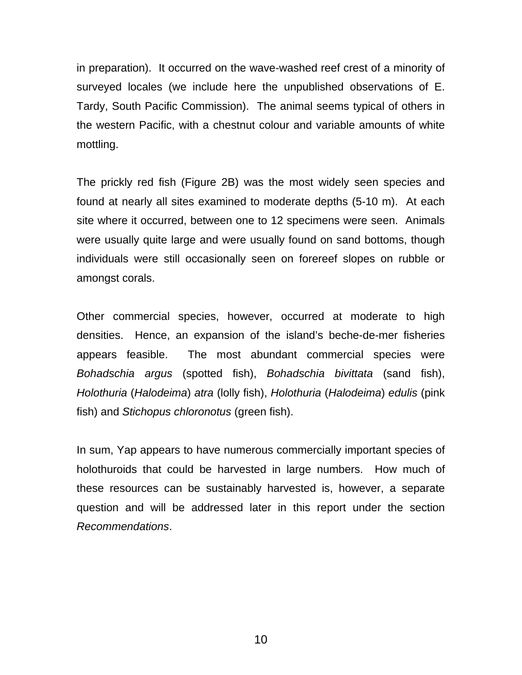in preparation). It occurred on the wave-washed reef crest of a minority of surveyed locales (we include here the unpublished observations of E. Tardy, South Pacific Commission). The animal seems typical of others in the western Pacific, with a chestnut colour and variable amounts of white mottling.

The prickly red fish (Figure 2B) was the most widely seen species and found at nearly all sites examined to moderate depths (5-10 m). At each site where it occurred, between one to 12 specimens were seen. Animals were usually quite large and were usually found on sand bottoms, though individuals were still occasionally seen on forereef slopes on rubble or amongst corals.

Other commercial species, however, occurred at moderate to high densities. Hence, an expansion of the island's beche-de-mer fisheries appears feasible. The most abundant commercial species were *Bohadschia argus* (spotted fish), *Bohadschia bivittata* (sand fish), *Holothuria* (*Halodeima*) *atra* (lolly fish), *Holothuria* (*Halodeima*) *edulis* (pink fish) and *Stichopus chloronotus* (green fish).

In sum, Yap appears to have numerous commercially important species of holothuroids that could be harvested in large numbers. How much of these resources can be sustainably harvested is, however, a separate question and will be addressed later in this report under the section *Recommendations*.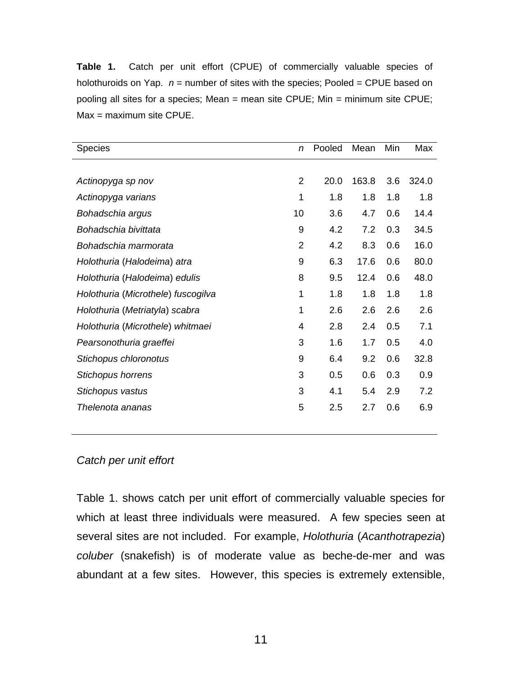**Table 1.** Catch per unit effort (CPUE) of commercially valuable species of holothuroids on Yap. *n* = number of sites with the species; Pooled = CPUE based on pooling all sites for a species; Mean = mean site CPUE; Min = minimum site CPUE; Max = maximum site CPUE.

| <b>Species</b>                     | n              | Pooled | Mean  | Min | Max   |
|------------------------------------|----------------|--------|-------|-----|-------|
|                                    |                |        |       |     |       |
| Actinopyga sp nov                  | $\overline{2}$ | 20.0   | 163.8 | 3.6 | 324.0 |
| Actinopyga varians                 | 1              | 1.8    | 1.8   | 1.8 | 1.8   |
| Bohadschia argus                   | 10             | 3.6    | 4.7   | 0.6 | 14.4  |
| Bohadschia bivittata               | 9              | 4.2    | 7.2   | 0.3 | 34.5  |
| Bohadschia marmorata               | $\overline{2}$ | 4.2    | 8.3   | 0.6 | 16.0  |
| Holothuria (Halodeima) atra        | 9              | 6.3    | 17.6  | 0.6 | 80.0  |
| Holothuria (Halodeima) edulis      | 8              | 9.5    | 12.4  | 0.6 | 48.0  |
| Holothuria (Microthele) fuscogilva | 1              | 1.8    | 1.8   | 1.8 | 1.8   |
| Holothuria (Metriatyla) scabra     | 1              | 2.6    | 2.6   | 2.6 | 2.6   |
| Holothuria (Microthele) whitmaei   | $\overline{4}$ | 2.8    | 2.4   | 0.5 | 7.1   |
| Pearsonothuria graeffei            | 3              | 1.6    | 1.7   | 0.5 | 4.0   |
| Stichopus chloronotus              | 9              | 6.4    | 9.2   | 0.6 | 32.8  |
| Stichopus horrens                  | 3              | 0.5    | 0.6   | 0.3 | 0.9   |
| Stichopus vastus                   | 3              | 4.1    | 5.4   | 2.9 | 7.2   |
| Thelenota ananas                   | 5              | 2.5    | 2.7   | 0.6 | 6.9   |
|                                    |                |        |       |     |       |

# *Catch per unit effort*

Table 1. shows catch per unit effort of commercially valuable species for which at least three individuals were measured. A few species seen at several sites are not included. For example, *Holothuria* (*Acanthotrapezia*) *coluber* (snakefish) is of moderate value as beche-de-mer and was abundant at a few sites. However, this species is extremely extensible,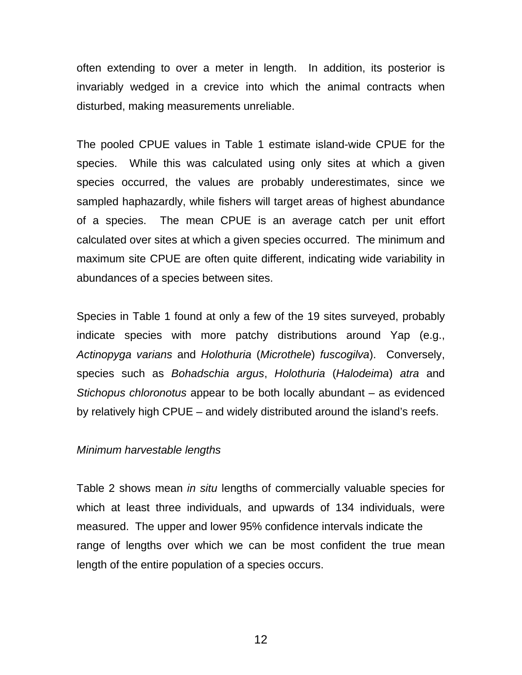often extending to over a meter in length. In addition, its posterior is invariably wedged in a crevice into which the animal contracts when disturbed, making measurements unreliable.

The pooled CPUE values in Table 1 estimate island-wide CPUE for the species. While this was calculated using only sites at which a given species occurred, the values are probably underestimates, since we sampled haphazardly, while fishers will target areas of highest abundance of a species. The mean CPUE is an average catch per unit effort calculated over sites at which a given species occurred. The minimum and maximum site CPUE are often quite different, indicating wide variability in abundances of a species between sites.

Species in Table 1 found at only a few of the 19 sites surveyed, probably indicate species with more patchy distributions around Yap (e.g., *Actinopyga varians* and *Holothuria* (*Microthele*) *fuscogilva*). Conversely, species such as *Bohadschia argus*, *Holothuria* (*Halodeima*) *atra* and *Stichopus chloronotus* appear to be both locally abundant – as evidenced by relatively high CPUE – and widely distributed around the island's reefs.

#### *Minimum harvestable lengths*

Table 2 shows mean *in situ* lengths of commercially valuable species for which at least three individuals, and upwards of 134 individuals, were measured. The upper and lower 95% confidence intervals indicate the range of lengths over which we can be most confident the true mean length of the entire population of a species occurs.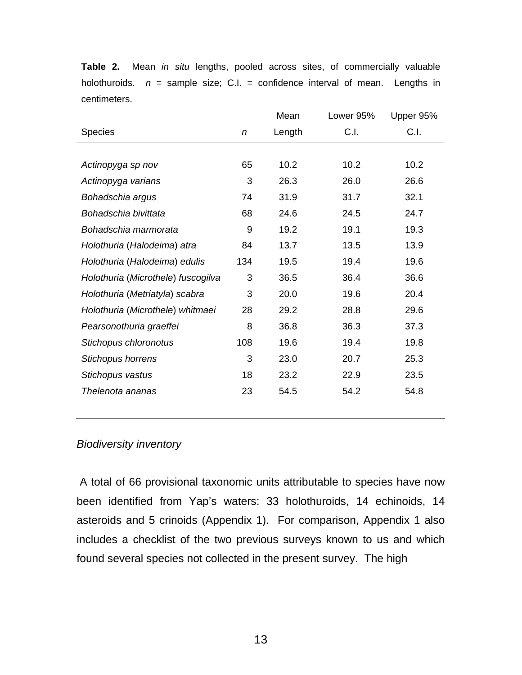|     | Mean   | Lower 95% | Upper 95% |
|-----|--------|-----------|-----------|
| n   | Length | C.I.      | C.1.      |
|     |        |           |           |
| 65  | 10.2   | 10.2      | 10.2      |
| 3   | 26.3   | 26.0      | 26.6      |
| 74  | 31.9   | 31.7      | 32.1      |
| 68  | 24.6   | 24.5      | 24.7      |
| 9   | 19.2   | 19.1      | 19.3      |
| 84  | 13.7   | 13.5      | 13.9      |
| 134 | 19.5   | 19.4      | 19.6      |
| 3   | 36.5   | 36.4      | 36.6      |
| 3   | 20.0   | 19.6      | 20.4      |
| 28  | 29.2   | 28.8      | 29.6      |
| 8   | 36.8   | 36.3      | 37.3      |
| 108 | 19.6   | 19.4      | 19.8      |
| 3   | 23.0   | 20.7      | 25.3      |
| 18  | 23.2   | 22.9      | 23.5      |
| 23  | 54.5   | 54.2      | 54.8      |
|     |        |           |           |

**Table 2.** Mean *in situ* lengths, pooled across sites, of commercially valuable holothuroids. *n* = sample size; C.I. = confidence interval of mean. Lengths in centimeters.

# *Biodiversity inventory*

 A total of 66 provisional taxonomic units attributable to species have now been identified from Yap's waters: 33 holothuroids, 14 echinoids, 14 asteroids and 5 crinoids (Appendix 1). For comparison, Appendix 1 also includes a checklist of the two previous surveys known to us and which found several species not collected in the present survey. The high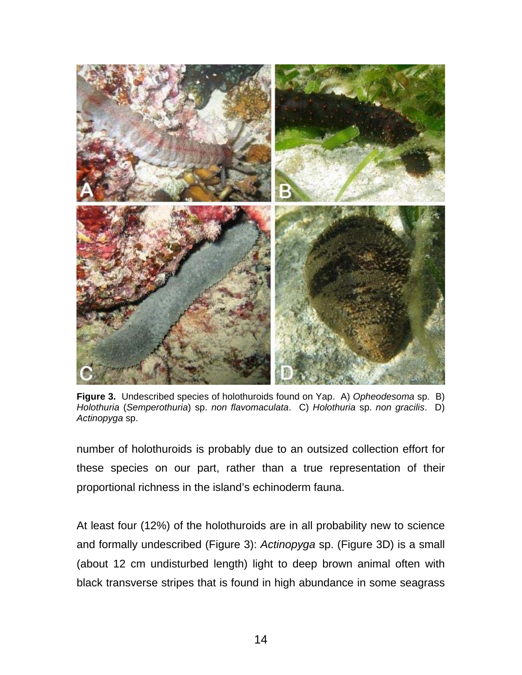

**Figure 3.** Undescribed species of holothuroids found on Yap. A) *Opheodesoma* sp. B) *Holothuria* (*Semperothuria*) sp. *non flavomaculata*. C) *Holothuria* sp. *non gracilis*. D) *Actinopyga* sp.

number of holothuroids is probably due to an outsized collection effort for these species on our part, rather than a true representation of their proportional richness in the island's echinoderm fauna.

At least four (12%) of the holothuroids are in all probability new to science and formally undescribed (Figure 3): *Actinopyga* sp. (Figure 3D) is a small (about 12 cm undisturbed length) light to deep brown animal often with black transverse stripes that is found in high abundance in some seagrass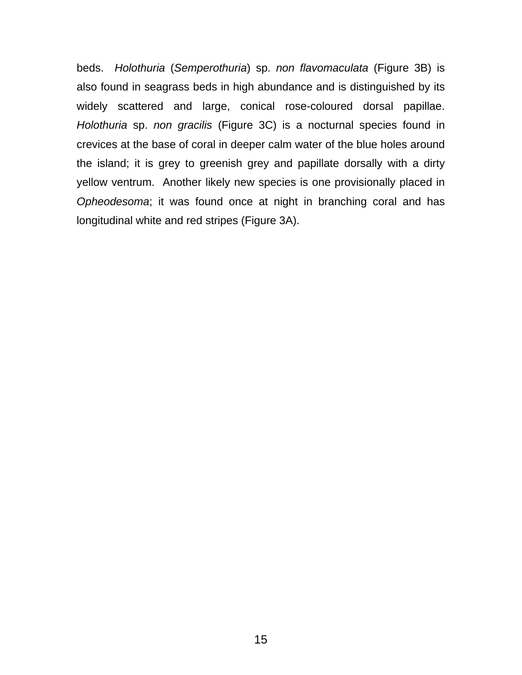beds. *Holothuria* (*Semperothuria*) sp. *non flavomaculata* (Figure 3B) is also found in seagrass beds in high abundance and is distinguished by its widely scattered and large, conical rose-coloured dorsal papillae. *Holothuria* sp. *non gracilis* (Figure 3C) is a nocturnal species found in crevices at the base of coral in deeper calm water of the blue holes around the island; it is grey to greenish grey and papillate dorsally with a dirty yellow ventrum. Another likely new species is one provisionally placed in *Opheodesoma*; it was found once at night in branching coral and has longitudinal white and red stripes (Figure 3A).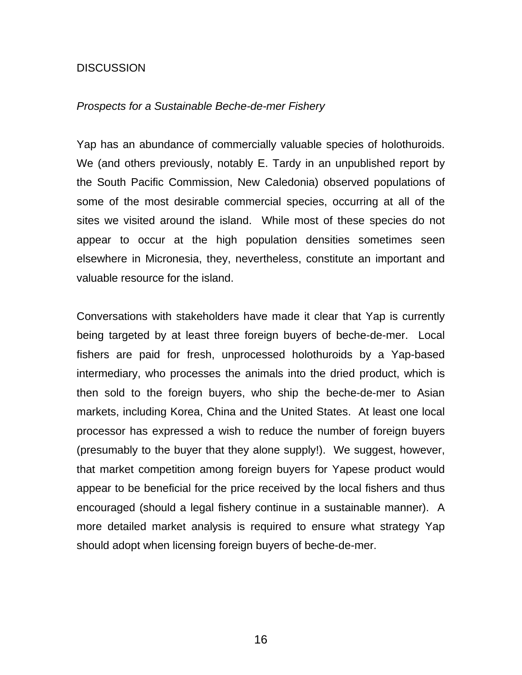# **DISCUSSION**

#### *Prospects for a Sustainable Beche-de-mer Fishery*

Yap has an abundance of commercially valuable species of holothuroids. We (and others previously, notably E. Tardy in an unpublished report by the South Pacific Commission, New Caledonia) observed populations of some of the most desirable commercial species, occurring at all of the sites we visited around the island. While most of these species do not appear to occur at the high population densities sometimes seen elsewhere in Micronesia, they, nevertheless, constitute an important and valuable resource for the island.

Conversations with stakeholders have made it clear that Yap is currently being targeted by at least three foreign buyers of beche-de-mer. Local fishers are paid for fresh, unprocessed holothuroids by a Yap-based intermediary, who processes the animals into the dried product, which is then sold to the foreign buyers, who ship the beche-de-mer to Asian markets, including Korea, China and the United States. At least one local processor has expressed a wish to reduce the number of foreign buyers (presumably to the buyer that they alone supply!). We suggest, however, that market competition among foreign buyers for Yapese product would appear to be beneficial for the price received by the local fishers and thus encouraged (should a legal fishery continue in a sustainable manner). A more detailed market analysis is required to ensure what strategy Yap should adopt when licensing foreign buyers of beche-de-mer.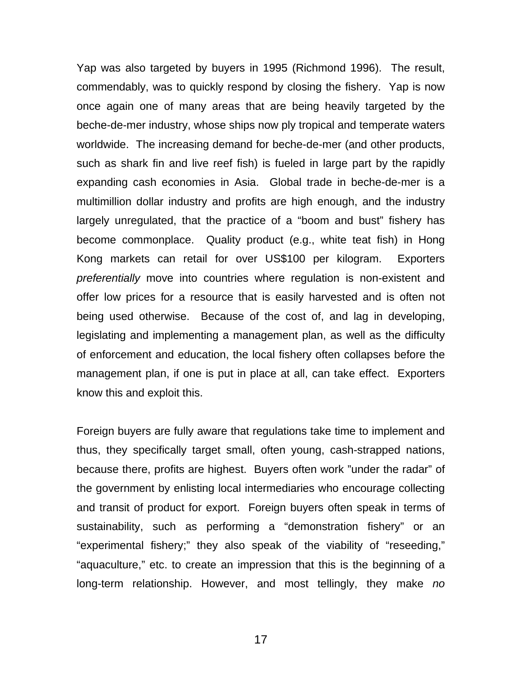Yap was also targeted by buyers in 1995 (Richmond 1996). The result, commendably, was to quickly respond by closing the fishery. Yap is now once again one of many areas that are being heavily targeted by the beche-de-mer industry, whose ships now ply tropical and temperate waters worldwide. The increasing demand for beche-de-mer (and other products, such as shark fin and live reef fish) is fueled in large part by the rapidly expanding cash economies in Asia. Global trade in beche-de-mer is a multimillion dollar industry and profits are high enough, and the industry largely unregulated, that the practice of a "boom and bust" fishery has become commonplace. Quality product (e.g., white teat fish) in Hong Kong markets can retail for over US\$100 per kilogram. Exporters *preferentially* move into countries where regulation is non-existent and offer low prices for a resource that is easily harvested and is often not being used otherwise. Because of the cost of, and lag in developing, legislating and implementing a management plan, as well as the difficulty of enforcement and education, the local fishery often collapses before the management plan, if one is put in place at all, can take effect. Exporters know this and exploit this.

Foreign buyers are fully aware that regulations take time to implement and thus, they specifically target small, often young, cash-strapped nations, because there, profits are highest. Buyers often work "under the radar" of the government by enlisting local intermediaries who encourage collecting and transit of product for export. Foreign buyers often speak in terms of sustainability, such as performing a "demonstration fishery" or an "experimental fishery;" they also speak of the viability of "reseeding," "aquaculture," etc. to create an impression that this is the beginning of a long-term relationship. However, and most tellingly, they make *no*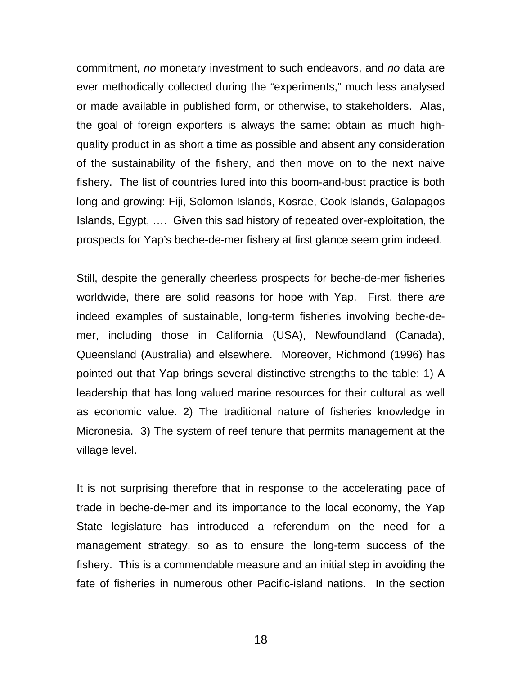commitment, *no* monetary investment to such endeavors, and *no* data are ever methodically collected during the "experiments," much less analysed or made available in published form, or otherwise, to stakeholders. Alas, the goal of foreign exporters is always the same: obtain as much highquality product in as short a time as possible and absent any consideration of the sustainability of the fishery, and then move on to the next naive fishery. The list of countries lured into this boom-and-bust practice is both long and growing: Fiji, Solomon Islands, Kosrae, Cook Islands, Galapagos Islands, Egypt, …. Given this sad history of repeated over-exploitation, the prospects for Yap's beche-de-mer fishery at first glance seem grim indeed.

Still, despite the generally cheerless prospects for beche-de-mer fisheries worldwide, there are solid reasons for hope with Yap. First, there *are* indeed examples of sustainable, long-term fisheries involving beche-demer, including those in California (USA), Newfoundland (Canada), Queensland (Australia) and elsewhere. Moreover, Richmond (1996) has pointed out that Yap brings several distinctive strengths to the table: 1) A leadership that has long valued marine resources for their cultural as well as economic value. 2) The traditional nature of fisheries knowledge in Micronesia. 3) The system of reef tenure that permits management at the village level.

It is not surprising therefore that in response to the accelerating pace of trade in beche-de-mer and its importance to the local economy, the Yap State legislature has introduced a referendum on the need for a management strategy, so as to ensure the long-term success of the fishery. This is a commendable measure and an initial step in avoiding the fate of fisheries in numerous other Pacific-island nations. In the section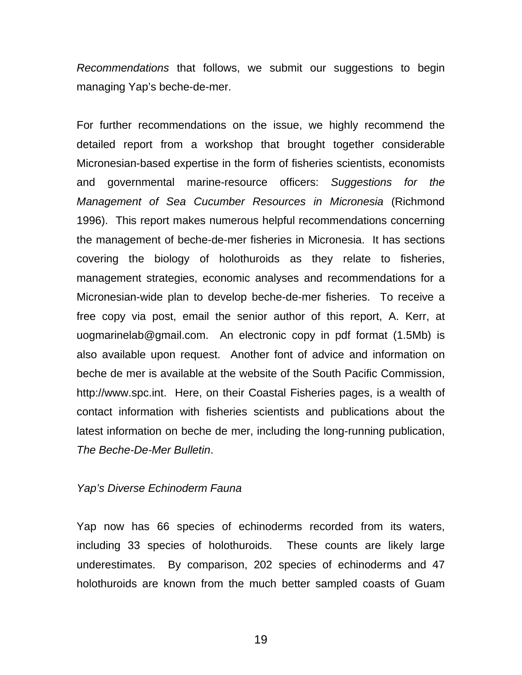*Recommendations* that follows, we submit our suggestions to begin managing Yap's beche-de-mer.

For further recommendations on the issue, we highly recommend the detailed report from a workshop that brought together considerable Micronesian-based expertise in the form of fisheries scientists, economists and governmental marine-resource officers: *Suggestions for the Management of Sea Cucumber Resources in Micronesia* (Richmond 1996). This report makes numerous helpful recommendations concerning the management of beche-de-mer fisheries in Micronesia. It has sections covering the biology of holothuroids as they relate to fisheries, management strategies, economic analyses and recommendations for a Micronesian-wide plan to develop beche-de-mer fisheries. To receive a free copy via post, email the senior author of this report, A. Kerr, at uogmarinelab@gmail.com. An electronic copy in pdf format (1.5Mb) is also available upon request. Another font of advice and information on beche de mer is available at the website of the South Pacific Commission, http://www.spc.int. Here, on their Coastal Fisheries pages, is a wealth of contact information with fisheries scientists and publications about the latest information on beche de mer, including the long-running publication, *The Beche-De-Mer Bulletin*.

# *Yap's Diverse Echinoderm Fauna*

Yap now has 66 species of echinoderms recorded from its waters, including 33 species of holothuroids. These counts are likely large underestimates. By comparison, 202 species of echinoderms and 47 holothuroids are known from the much better sampled coasts of Guam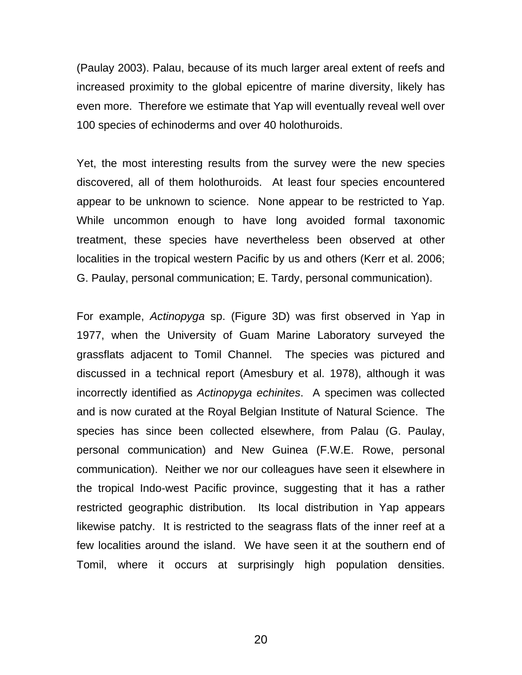(Paulay 2003). Palau, because of its much larger areal extent of reefs and increased proximity to the global epicentre of marine diversity, likely has even more. Therefore we estimate that Yap will eventually reveal well over 100 species of echinoderms and over 40 holothuroids.

Yet, the most interesting results from the survey were the new species discovered, all of them holothuroids. At least four species encountered appear to be unknown to science. None appear to be restricted to Yap. While uncommon enough to have long avoided formal taxonomic treatment, these species have nevertheless been observed at other localities in the tropical western Pacific by us and others (Kerr et al. 2006; G. Paulay, personal communication; E. Tardy, personal communication).

For example, *Actinopyga* sp. (Figure 3D) was first observed in Yap in 1977, when the University of Guam Marine Laboratory surveyed the grassflats adjacent to Tomil Channel. The species was pictured and discussed in a technical report (Amesbury et al. 1978), although it was incorrectly identified as *Actinopyga echinites*. A specimen was collected and is now curated at the Royal Belgian Institute of Natural Science. The species has since been collected elsewhere, from Palau (G. Paulay, personal communication) and New Guinea (F.W.E. Rowe, personal communication). Neither we nor our colleagues have seen it elsewhere in the tropical Indo-west Pacific province, suggesting that it has a rather restricted geographic distribution. Its local distribution in Yap appears likewise patchy. It is restricted to the seagrass flats of the inner reef at a few localities around the island. We have seen it at the southern end of Tomil, where it occurs at surprisingly high population densities.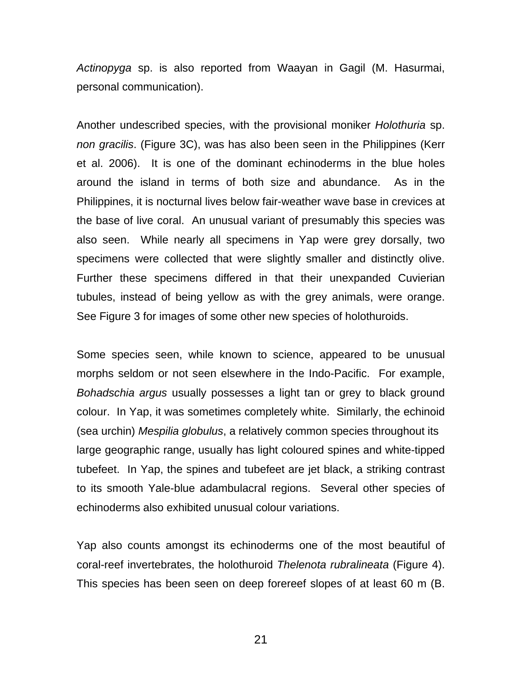*Actinopyga* sp. is also reported from Waayan in Gagil (M. Hasurmai, personal communication).

Another undescribed species, with the provisional moniker *Holothuria* sp. *non gracilis*. (Figure 3C), was has also been seen in the Philippines (Kerr et al. 2006). It is one of the dominant echinoderms in the blue holes around the island in terms of both size and abundance. As in the Philippines, it is nocturnal lives below fair-weather wave base in crevices at the base of live coral. An unusual variant of presumably this species was also seen. While nearly all specimens in Yap were grey dorsally, two specimens were collected that were slightly smaller and distinctly olive. Further these specimens differed in that their unexpanded Cuvierian tubules, instead of being yellow as with the grey animals, were orange. See Figure 3 for images of some other new species of holothuroids.

Some species seen, while known to science, appeared to be unusual morphs seldom or not seen elsewhere in the Indo-Pacific. For example, *Bohadschia argus* usually possesses a light tan or grey to black ground colour. In Yap, it was sometimes completely white. Similarly, the echinoid (sea urchin) *Mespilia globulus*, a relatively common species throughout its large geographic range, usually has light coloured spines and white-tipped tubefeet. In Yap, the spines and tubefeet are jet black, a striking contrast to its smooth Yale-blue adambulacral regions. Several other species of echinoderms also exhibited unusual colour variations.

Yap also counts amongst its echinoderms one of the most beautiful of coral-reef invertebrates, the holothuroid *Thelenota rubralineata* (Figure 4). This species has been seen on deep forereef slopes of at least 60 m (B.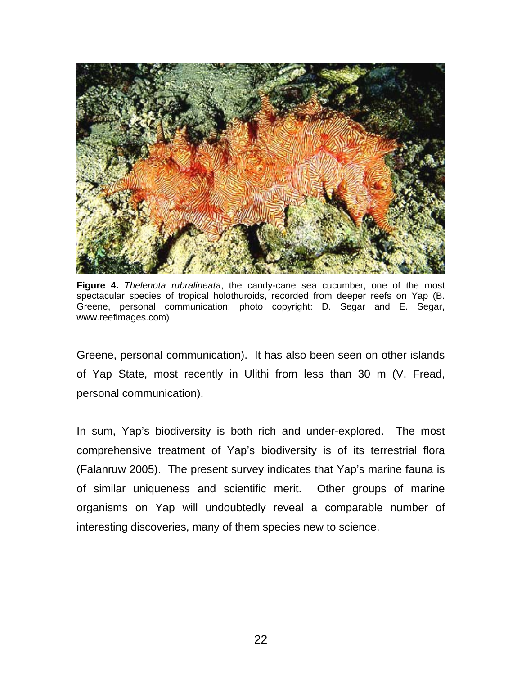

**Figure 4.** *Thelenota rubralineata*, the candy-cane sea cucumber, one of the most spectacular species of tropical holothuroids, recorded from deeper reefs on Yap (B. Greene, personal communication; photo copyright: D. Segar and E. Segar, www.reefimages.com)

Greene, personal communication). It has also been seen on other islands of Yap State, most recently in Ulithi from less than 30 m (V. Fread, personal communication).

In sum, Yap's biodiversity is both rich and under-explored. The most comprehensive treatment of Yap's biodiversity is of its terrestrial flora (Falanruw 2005). The present survey indicates that Yap's marine fauna is of similar uniqueness and scientific merit. Other groups of marine organisms on Yap will undoubtedly reveal a comparable number of interesting discoveries, many of them species new to science.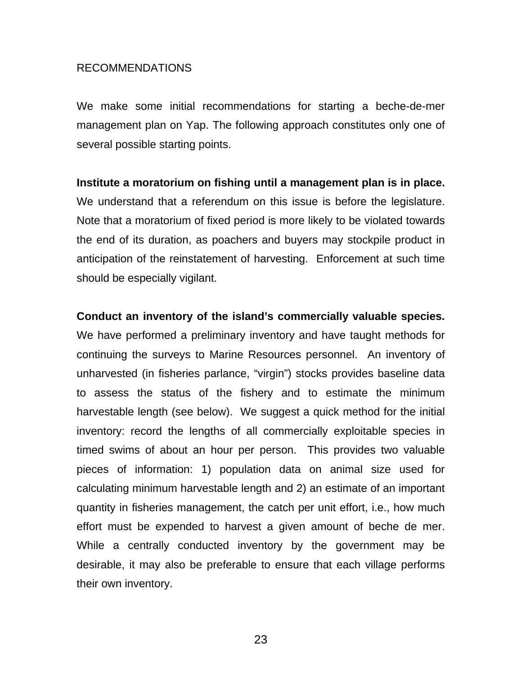# RECOMMENDATIONS

We make some initial recommendations for starting a beche-de-mer management plan on Yap. The following approach constitutes only one of several possible starting points.

# **Institute a moratorium on fishing until a management plan is in place.**

We understand that a referendum on this issue is before the legislature. Note that a moratorium of fixed period is more likely to be violated towards the end of its duration, as poachers and buyers may stockpile product in anticipation of the reinstatement of harvesting. Enforcement at such time should be especially vigilant.

# **Conduct an inventory of the island's commercially valuable species.**

We have performed a preliminary inventory and have taught methods for continuing the surveys to Marine Resources personnel. An inventory of unharvested (in fisheries parlance, "virgin") stocks provides baseline data to assess the status of the fishery and to estimate the minimum harvestable length (see below). We suggest a quick method for the initial inventory: record the lengths of all commercially exploitable species in timed swims of about an hour per person. This provides two valuable pieces of information: 1) population data on animal size used for calculating minimum harvestable length and 2) an estimate of an important quantity in fisheries management, the catch per unit effort, i.e., how much effort must be expended to harvest a given amount of beche de mer. While a centrally conducted inventory by the government may be desirable, it may also be preferable to ensure that each village performs their own inventory.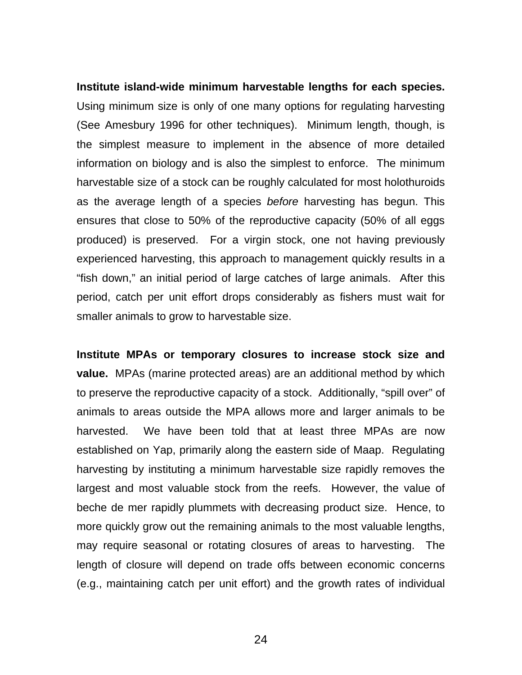**Institute island-wide minimum harvestable lengths for each species.** Using minimum size is only of one many options for regulating harvesting (See Amesbury 1996 for other techniques). Minimum length, though, is the simplest measure to implement in the absence of more detailed information on biology and is also the simplest to enforce. The minimum harvestable size of a stock can be roughly calculated for most holothuroids as the average length of a species *before* harvesting has begun. This ensures that close to 50% of the reproductive capacity (50% of all eggs produced) is preserved. For a virgin stock, one not having previously experienced harvesting, this approach to management quickly results in a "fish down," an initial period of large catches of large animals. After this period, catch per unit effort drops considerably as fishers must wait for smaller animals to grow to harvestable size.

**Institute MPAs or temporary closures to increase stock size and value.** MPAs (marine protected areas) are an additional method by which to preserve the reproductive capacity of a stock. Additionally, "spill over" of animals to areas outside the MPA allows more and larger animals to be harvested. We have been told that at least three MPAs are now established on Yap, primarily along the eastern side of Maap. Regulating harvesting by instituting a minimum harvestable size rapidly removes the largest and most valuable stock from the reefs. However, the value of beche de mer rapidly plummets with decreasing product size. Hence, to more quickly grow out the remaining animals to the most valuable lengths, may require seasonal or rotating closures of areas to harvesting. The length of closure will depend on trade offs between economic concerns (e.g., maintaining catch per unit effort) and the growth rates of individual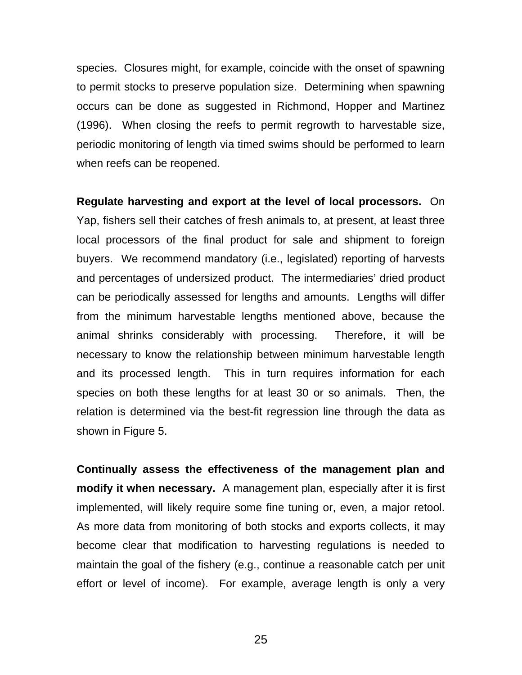species. Closures might, for example, coincide with the onset of spawning to permit stocks to preserve population size. Determining when spawning occurs can be done as suggested in Richmond, Hopper and Martinez (1996). When closing the reefs to permit regrowth to harvestable size, periodic monitoring of length via timed swims should be performed to learn when reefs can be reopened.

**Regulate harvesting and export at the level of local processors.** On Yap, fishers sell their catches of fresh animals to, at present, at least three local processors of the final product for sale and shipment to foreign buyers. We recommend mandatory (i.e., legislated) reporting of harvests and percentages of undersized product. The intermediaries' dried product can be periodically assessed for lengths and amounts. Lengths will differ from the minimum harvestable lengths mentioned above, because the animal shrinks considerably with processing. Therefore, it will be necessary to know the relationship between minimum harvestable length and its processed length. This in turn requires information for each species on both these lengths for at least 30 or so animals. Then, the relation is determined via the best-fit regression line through the data as shown in Figure 5.

**Continually assess the effectiveness of the management plan and modify it when necessary.** A management plan, especially after it is first implemented, will likely require some fine tuning or, even, a major retool. As more data from monitoring of both stocks and exports collects, it may become clear that modification to harvesting regulations is needed to maintain the goal of the fishery (e.g., continue a reasonable catch per unit effort or level of income). For example, average length is only a very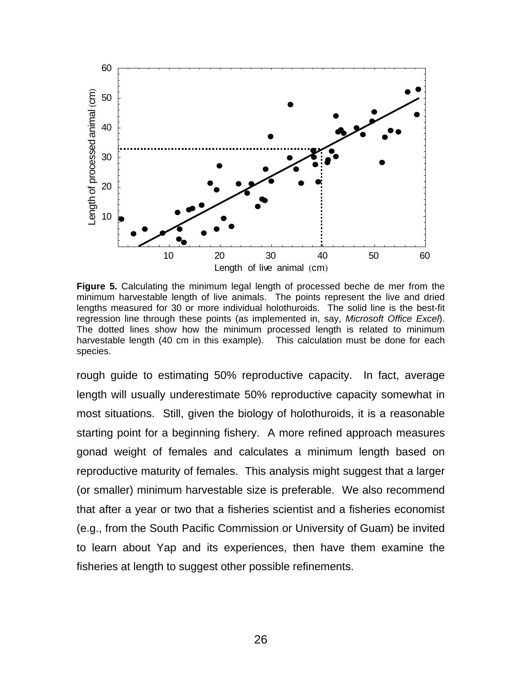

**Figure 5.** Calculating the minimum legal length of processed beche de mer from the minimum harvestable length of live animals. The points represent the live and dried lengths measured for 30 or more individual holothuroids. The solid line is the best-fit regression line through these points (as implemented in, say, *Microsoft Office Excel*). The dotted lines show how the minimum processed length is related to minimum harvestable length (40 cm in this example). This calculation must be done for each species.

rough guide to estimating 50% reproductive capacity. In fact, average length will usually underestimate 50% reproductive capacity somewhat in most situations. Still, given the biology of holothuroids, it is a reasonable starting point for a beginning fishery. A more refined approach measures gonad weight of females and calculates a minimum length based on reproductive maturity of females. This analysis might suggest that a larger (or smaller) minimum harvestable size is preferable. We also recommend that after a year or two that a fisheries scientist and a fisheries economist (e.g., from the South Pacific Commission or University of Guam) be invited to learn about Yap and its experiences, then have them examine the fisheries at length to suggest other possible refinements.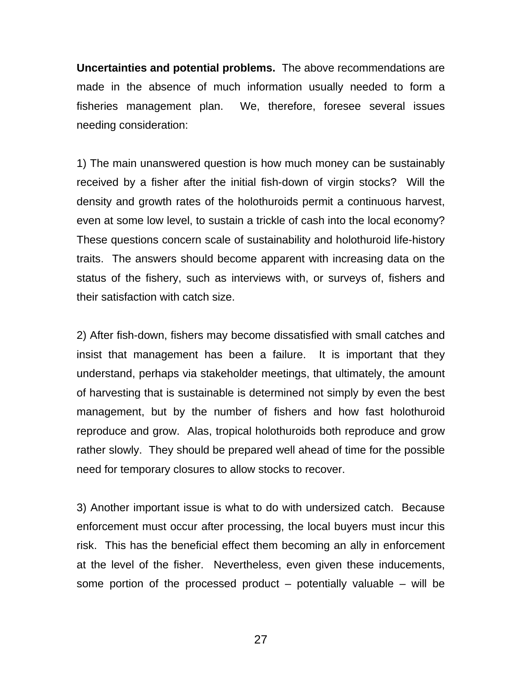**Uncertainties and potential problems.** The above recommendations are made in the absence of much information usually needed to form a fisheries management plan. We, therefore, foresee several issues needing consideration:

1) The main unanswered question is how much money can be sustainably received by a fisher after the initial fish-down of virgin stocks? Will the density and growth rates of the holothuroids permit a continuous harvest, even at some low level, to sustain a trickle of cash into the local economy? These questions concern scale of sustainability and holothuroid life-history traits. The answers should become apparent with increasing data on the status of the fishery, such as interviews with, or surveys of, fishers and their satisfaction with catch size.

2) After fish-down, fishers may become dissatisfied with small catches and insist that management has been a failure. It is important that they understand, perhaps via stakeholder meetings, that ultimately, the amount of harvesting that is sustainable is determined not simply by even the best management, but by the number of fishers and how fast holothuroid reproduce and grow. Alas, tropical holothuroids both reproduce and grow rather slowly. They should be prepared well ahead of time for the possible need for temporary closures to allow stocks to recover.

3) Another important issue is what to do with undersized catch. Because enforcement must occur after processing, the local buyers must incur this risk. This has the beneficial effect them becoming an ally in enforcement at the level of the fisher. Nevertheless, even given these inducements, some portion of the processed product  $-$  potentially valuable  $-$  will be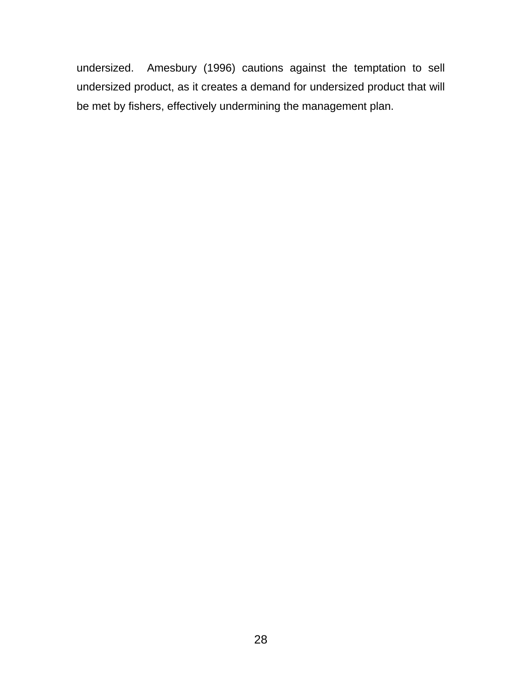undersized. Amesbury (1996) cautions against the temptation to sell undersized product, as it creates a demand for undersized product that will be met by fishers, effectively undermining the management plan.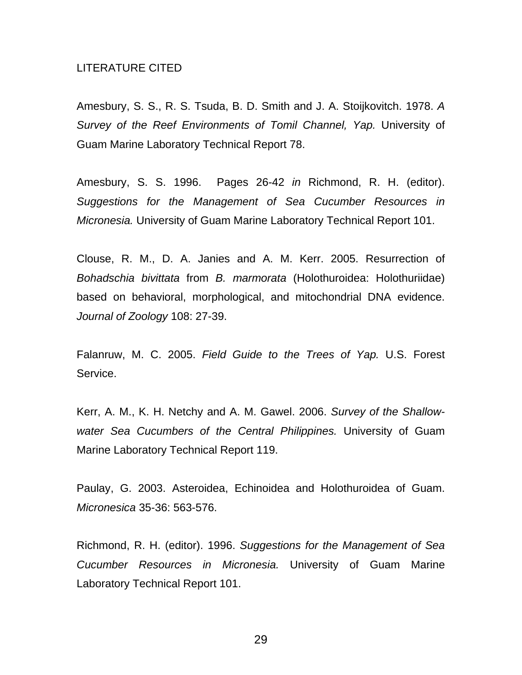#### LITERATURE CITED

Amesbury, S. S., R. S. Tsuda, B. D. Smith and J. A. Stoijkovitch. 1978. *A Survey of the Reef Environments of Tomil Channel, Yap.* University of Guam Marine Laboratory Technical Report 78.

Amesbury, S. S. 1996. Pages 26-42 *in* Richmond, R. H. (editor). *Suggestions for the Management of Sea Cucumber Resources in Micronesia.* University of Guam Marine Laboratory Technical Report 101.

Clouse, R. M., D. A. Janies and A. M. Kerr. 2005. Resurrection of *Bohadschia bivittata* from *B. marmorata* (Holothuroidea: Holothuriidae) based on behavioral, morphological, and mitochondrial DNA evidence. *Journal of Zoology* 108: 27-39.

Falanruw, M. C. 2005. *Field Guide to the Trees of Yap.* U.S. Forest Service.

Kerr, A. M., K. H. Netchy and A. M. Gawel. 2006. *Survey of the Shallowwater Sea Cucumbers of the Central Philippines.* University of Guam Marine Laboratory Technical Report 119.

Paulay, G. 2003. Asteroidea, Echinoidea and Holothuroidea of Guam. *Micronesica* 35-36: 563-576.

Richmond, R. H. (editor). 1996. *Suggestions for the Management of Sea Cucumber Resources in Micronesia.* University of Guam Marine Laboratory Technical Report 101.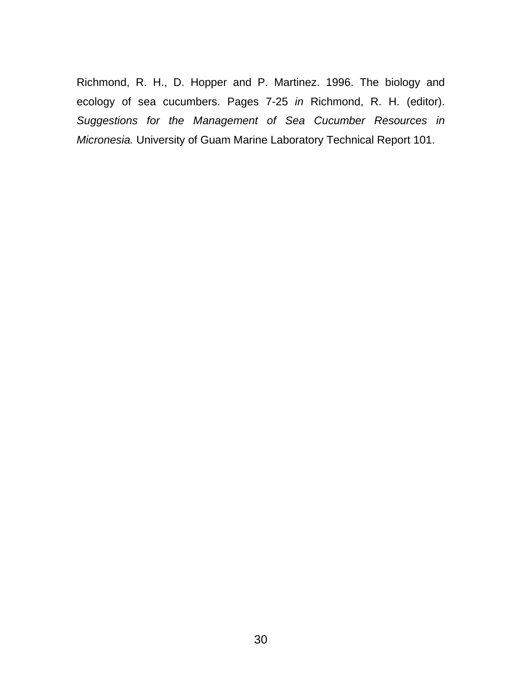Richmond, R. H., D. Hopper and P. Martinez. 1996. The biology and ecology of sea cucumbers. Pages 7-25 *in* Richmond, R. H. (editor). *Suggestions for the Management of Sea Cucumber Resources in Micronesia.* University of Guam Marine Laboratory Technical Report 101.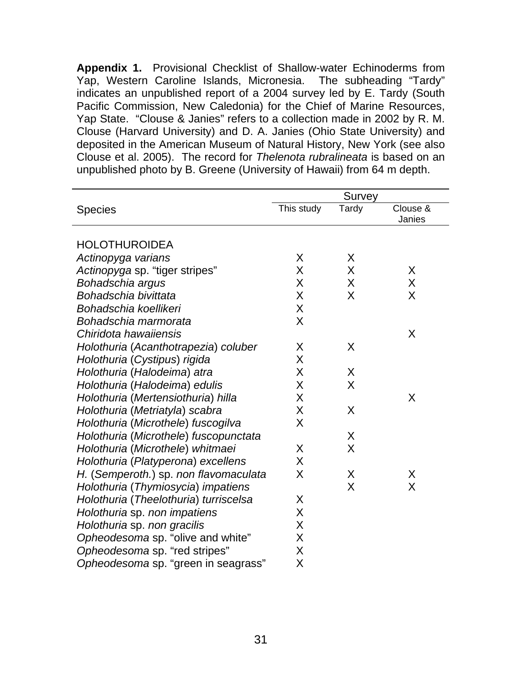**Appendix 1.** Provisional Checklist of Shallow-water Echinoderms from Yap, Western Caroline Islands, Micronesia. The subheading "Tardy" indicates an unpublished report of a 2004 survey led by E. Tardy (South Pacific Commission, New Caledonia) for the Chief of Marine Resources, Yap State. "Clouse & Janies" refers to a collection made in 2002 by R. M. Clouse (Harvard University) and D. A. Janies (Ohio State University) and deposited in the American Museum of Natural History, New York (see also Clouse et al. 2005). The record for *Thelenota rubralineata* is based on an unpublished photo by B. Greene (University of Hawaii) from 64 m depth.

|                                       | Survey     |       |                    |
|---------------------------------------|------------|-------|--------------------|
| <b>Species</b>                        | This study | Tardy | Clouse &<br>Janies |
| <b>HOLOTHUROIDEA</b>                  |            |       |                    |
|                                       | X          | X     |                    |
| Actinopyga varians                    | X          | X     | X                  |
| Actinopyga sp. "tiger stripes"        | X          | X     | X                  |
| Bohadschia argus                      |            |       |                    |
| Bohadschia bivittata                  | X          | X     | X                  |
| Bohadschia koellikeri                 | X          |       |                    |
| Bohadschia marmorata                  | X          |       |                    |
| Chiridota hawaiiensis                 |            |       | X                  |
| Holothuria (Acanthotrapezia) coluber  | X          | X     |                    |
| Holothuria (Cystipus) rigida          | X          |       |                    |
| Holothuria (Halodeima) atra           | X          | X     |                    |
| Holothuria (Halodeima) edulis         | X          | X     |                    |
| Holothuria (Mertensiothuria) hilla    | X          |       | X                  |
| Holothuria (Metriatyla) scabra        | X          | X     |                    |
| Holothuria (Microthele) fuscogilva    | X          |       |                    |
| Holothuria (Microthele) fuscopunctata |            | X     |                    |
| Holothuria (Microthele) whitmaei      | X          | X     |                    |
| Holothuria (Platyperona) excellens    | X          |       |                    |
| H. (Semperoth.) sp. non flavomaculata | X          | X     | X                  |
| Holothuria (Thymiosycia) impatiens    |            | X     | X                  |
| Holothuria (Theelothuria) turriscelsa | X          |       |                    |
| Holothuria sp. non impatiens          | X          |       |                    |
| Holothuria sp. non gracilis           | X          |       |                    |
| Opheodesoma sp. "olive and white"     | X          |       |                    |
| Opheodesoma sp. "red stripes"         | Χ          |       |                    |
| Opheodesoma sp. "green in seagrass"   | Χ          |       |                    |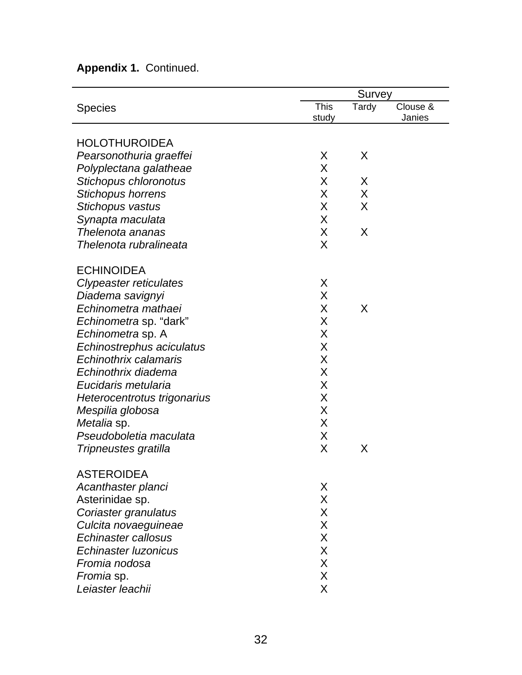# **Appendix 1.** Continued.

|                               |       | Survey |          |  |  |
|-------------------------------|-------|--------|----------|--|--|
| <b>Species</b>                | This  | Tardy  | Clouse & |  |  |
|                               | study |        | Janies   |  |  |
| <b>HOLOTHUROIDEA</b>          |       |        |          |  |  |
| Pearsonothuria graeffei       | X     | X      |          |  |  |
| Polyplectana galatheae        | X     |        |          |  |  |
| Stichopus chloronotus         | X     | X      |          |  |  |
| <b>Stichopus horrens</b>      | X     | X      |          |  |  |
| Stichopus vastus              | X     | X      |          |  |  |
| Synapta maculata              | X     |        |          |  |  |
| Thelenota ananas              | X     | X      |          |  |  |
| Thelenota rubralineata        | X     |        |          |  |  |
| <b>ECHINOIDEA</b>             |       |        |          |  |  |
| <b>Clypeaster reticulates</b> | X     |        |          |  |  |
| Diadema savignyi              | X     |        |          |  |  |
| Echinometra mathaei           | X     | X      |          |  |  |
| <i>Echinometra</i> sp. "dark" | X     |        |          |  |  |
| Echinometra sp. A             | X     |        |          |  |  |
| Echinostrephus aciculatus     | X     |        |          |  |  |
| Echinothrix calamaris         | Χ     |        |          |  |  |
| Echinothrix diadema           | X     |        |          |  |  |
| Eucidaris metularia           | X     |        |          |  |  |
| Heterocentrotus trigonarius   | X     |        |          |  |  |
| Mespilia globosa              | X     |        |          |  |  |
| Metalia sp.                   | X     |        |          |  |  |
| Pseudoboletia maculata        | X     |        |          |  |  |
| Tripneustes gratilla          | X     | X      |          |  |  |
| <b>ASTEROIDEA</b>             |       |        |          |  |  |
| Acanthaster planci            | X     |        |          |  |  |
| Asterinidae sp.               | X     |        |          |  |  |
| Coriaster granulatus          | X     |        |          |  |  |
| Culcita novaeguineae          | X     |        |          |  |  |
| Echinaster callosus           | X     |        |          |  |  |
| Echinaster Iuzonicus          | X     |        |          |  |  |
| Fromia nodosa                 | X     |        |          |  |  |
| Fromia sp.                    | X     |        |          |  |  |
| Leiaster leachii              | X     |        |          |  |  |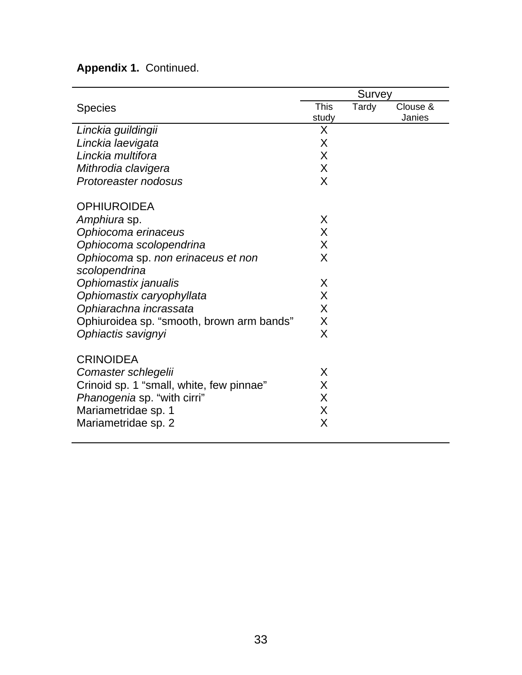# **Appendix 1.** Continued.

|                                           | Survey      |       |          |
|-------------------------------------------|-------------|-------|----------|
| <b>Species</b>                            | <b>This</b> | Tardy | Clouse & |
|                                           | study       |       | Janies   |
| Linckia guildingii                        | X           |       |          |
| Linckia laevigata                         | X           |       |          |
| Linckia multifora                         | X           |       |          |
| Mithrodia clavigera                       | X           |       |          |
| Protoreaster nodosus                      | X           |       |          |
| <b>OPHIUROIDEA</b>                        |             |       |          |
| Amphiura sp.                              | X           |       |          |
| Ophiocoma erinaceus                       | X           |       |          |
| Ophiocoma scolopendrina                   | X           |       |          |
| Ophiocoma sp. non erinaceus et non        | X           |       |          |
| scolopendrina                             |             |       |          |
| Ophiomastix janualis                      | X           |       |          |
| Ophiomastix caryophyllata                 | X           |       |          |
| Ophiarachna incrassata                    | X           |       |          |
| Ophiuroidea sp. "smooth, brown arm bands" | X           |       |          |
| Ophiactis savignyi                        | X           |       |          |
| <b>CRINOIDEA</b>                          |             |       |          |
| Comaster schlegelii                       | X           |       |          |
| Crinoid sp. 1 "small, white, few pinnae"  | X           |       |          |
| Phanogenia sp. "with cirri"               | X           |       |          |
| Mariametridae sp. 1                       | X           |       |          |
| Mariametridae sp. 2                       | X           |       |          |